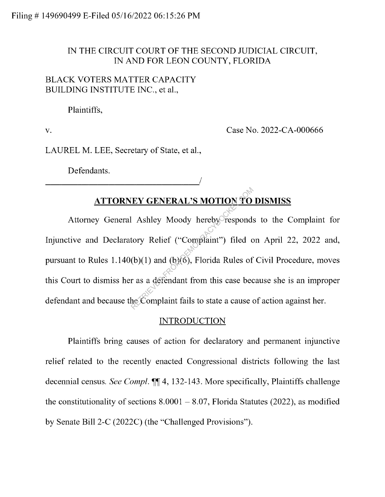## IN THE CIRCUIT COURT OF THE SECOND JUDICIAL CIRCUIT, IN AND FOR LEON COUNTY, FLORIDA

## BLACK VOTERS MATTER CAPACITY BUILDING INSTITUTE INC., et al.,

Plaintiffs,

V.

Case No. 2022-CA-000666

LAUREL M. LEE, Secretary of State, et al.,

<sup>I</sup>-------------------'

Defendants.

# **ATTORNEY GENERAL'S MOTION TO DISMISS**

Attorney General Ashley Moody hereby responds to the Complaint for Injunctive and Declaratory Relief ("Complaint") filed on April 22, 2022 and, pursuant to Rules  $1.140(b)(1)$  and  $(b)(6)$ , Florida Rules of Civil Procedure, moves this Court to dismiss her as a defendant from this case because she is an improper defendant and because the Complaint fails to state a cause of action against her. EY GENERAL'S MOTION TO<br>
Ashley Moody hereby responds<br>
tory Relief ("Complaint") filed c<br>
(b)(1) and (b)(6), Florida Rules of<br>
r as a defendant from this case bec<br>
he Complaint fails to state a cause of

# **INTRODUCTION**

Plaintiffs bring causes of action for declaratory and permanent injunctive relief related to the recently enacted Congressional districts following the last decennial census. *See Compl.*  $\P\P$ 4, 132-143. More specifically, Plaintiffs challenge the constitutionality of sections  $8.0001 - 8.07$ , Florida Statutes (2022), as modified by Senate Bill 2-C (2022C) (the "Challenged Provisions").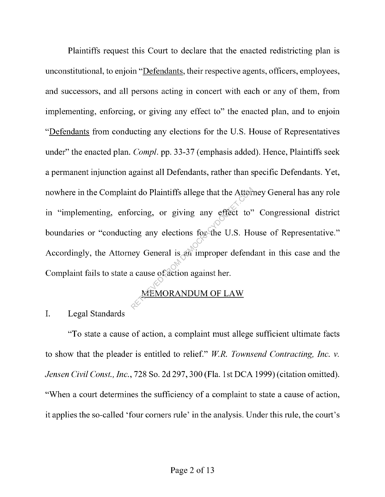Plaintiffs request this Court to declare that the enacted redistricting plan is unconstitutional, to enjoin "Defendants, their respective agents, officers, employees, and successors, and all persons acting in concert with each or any of them, from implementing, enforcing, or giving any effect to" the enacted plan, and to enjoin "Defendants from conducting any elections for the U.S. House of Representatives under" the enacted plan. *Compl.* pp. 33-37 (emphasis added). Hence, Plaintiffs seek a permanent injunction against all Defendants, rather than specific Defendants. Yet, nowhere in the Complaint do Plaintiffs allege that the Attorney General has any role in "implementing, enforcing, or giving any effect to" Congressional district boundaries or "conducting any elections for the U.S. House of Representative." Accordingly, the Attorney General is an improper defendant in this case and the Complaint fails to state a cause of action against her. The Attention of the Attention<br>Spring any effect to"<br>ing any elections for the U.S. Ho<br>ley General is an improper defend<br>a cause of action against her.<br>MEMORANDUM OF LAW

# MEMORANDUM OF LAW

I. Legal Standards

"To state a cause of action, a complaint must allege sufficient ultimate facts to show that the pleader is entitled to relief." *WR. Townsend Contracting, Inc. v. Jensen Civil Const., Inc.,* 728 So. 2d 297,300 (Fla. 1st DCA 1999) ( citation omitted). "When a court determines the sufficiency of a complaint to state a cause of action, it applies the so-called 'four comers rule' in the analysis. Under this rule, the court's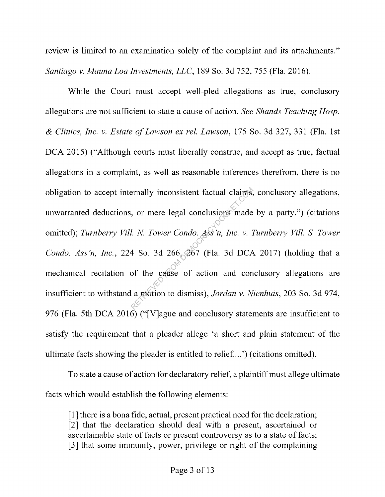review is limited to an examination solely of the complaint and its attachments." *Santiago v. Mauna Loa Investments, LLC,* 189 So. 3d 752, 755 (Fla. 2016).

While the Court must accept well-pled allegations as true, conclusory allegations are not sufficient to state a cause of action. *See Shands Teaching Hosp. & Clinics, Inc. v. Estate of Lawson ex rel. Lawson,* 175 So. 3d 327, 331 (Fla. 1st DCA 2015) ("Although courts must liberally construe, and accept as true, factual allegations in a complaint, as well as reasonable inferences therefrom, there is no obligation to accept internally inconsistent factual claims, conclusory allegations, unwarranted deductions, or mere legal conclusions made by a party.") ( citations omitted); *Turnberry Vill. N. Tower Condo. Ass'n, Inc. v. Turnberry Vill. S. Tower Condo. Ass 'n, Inc.,* 224 So. 3d 266, 267 (Fla. 3d DCA 2017) (holding that a mechanical recitation of the cause of action and conclusory allegations are insufficient to withstand a motion to dismiss), *Jordan v. Nienhuis,* 203 So. 3d 974, 976 (Fla. 5th DCA 2016) ("[V]ague and conclusory statements are insufficient to satisfy the requirement that a pleader allege 'a short and plain statement of the ultimate facts showing the pleader is entitled to relief. ... ') ( citations omitted). Finally inconsistent factual claims,<br>  $\alpha$ , or mere legal conclusions made<br>  $\alpha$ . N. Tower Condo. Ass in, Inc. v. I<br>  $\alpha$  So. 3d 266, 267 (Fla. 3d DCA<br>
of the cause of action and conclaimtion to dismiss), Jordan v. N.

To state a cause of action for declaratory relief, a plaintiff must allege ultimate facts which would establish the following elements:

[ 1] there is a bona fide, actual, present practical need for the declaration; [2] that the declaration should deal with a present, ascertained or ascertainable state of facts or present controversy as to a state of facts; [3] that some immunity, power, privilege or right of the complaining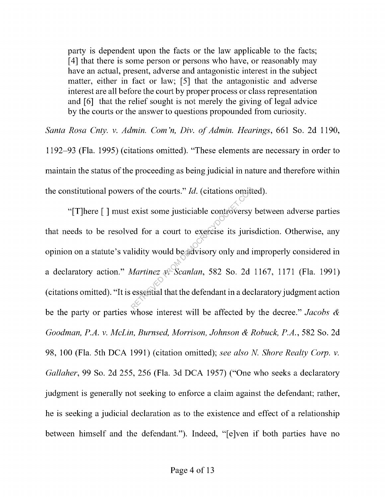party is dependent upon the facts or the law applicable to the facts; [4] that there is some person or persons who have, or reasonably may have an actual, present, adverse and antagonistic interest in the subject matter, either in fact or law; [5] that the antagonistic and adverse interest are all before the court by proper process or class representation and [6] that the relief sought is not merely the giving of legal advice by the courts or the answer to questions propounded from curiosity.

*Santa Rosa Cnty. v. Admin. Com 'n, Div. of Admin. Hearings,* 661 So. 2d 1190, 1192-93 (Fla. 1995) ( citations omitted). "These elements are necessary in order to maintain the status of the proceeding as being judicial in nature and therefore within the constitutional powers of the courts." *Id.* ( citations omitted).

"[T]here [] must exist some justiciable controversy between adverse parties that needs to be resolved for a court to exercise its jurisdiction. Otherwise, any opinion on a statute's validity would be advisory only and improperly considered in a declaratory action." *Martinez v. Scanlan,* 582 So. 2d 1167, 1171 (Fla. 1991) ( citations omitted). "It is essential that the defendant in a declaratory judgment action be the party or parties whose interest will be affected by the decree." *Jacobs & Goodman, P.A. v. McLin, Burnsed, Morrison, Johnson & Robuck, P.A.,* 582 So. 2d 98, 100 (Fla. 5th DCA 1991) (citation omitted); *see also N Shore Realty Corp. v. Gallaher,* 99 So. 2d 255, 256 (Fla. 3d DCA 1957) ("One who seeks a declaratory judgment is generally not seeking to enforce a claim against the defendant; rather, he is seeking a judicial declaration as to the existence and effect of a relationship between himself and the defendant."). Indeed, "[e]ven if both parties have no Solution Solution Solution Solution Sexist some justiciable controversy<br>ed for a court to exercise its juris<br>lidity would be advisory only and it<br>Martinez  $x$  Scanlan, 582 So. 2d<br>essential that the defendant in a dec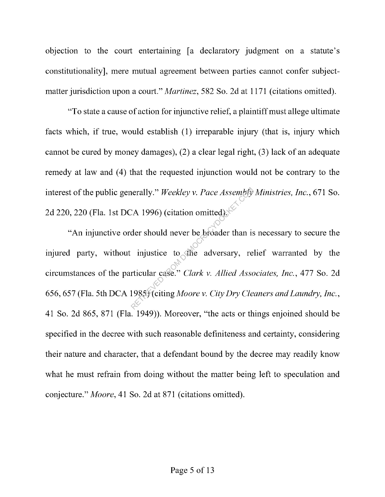objection to the court entertaining [a declaratory judgment on a statute's constitutionality], mere mutual agreement between parties cannot confer subjectmatter jurisdiction upon a court." *Martinez*, 582 So. 2d at 1171 (citations omitted).

"To state a cause of action for injunctive relief, a plaintiff must allege ultimate facts which, if true, would establish (1) irreparable injury (that is, injury which cannot be cured by money damages), (2) a clear legal right, (3) lack of an adequate remedy at law and (4) that the requested injunction would not be contrary to the interest of the public generally." *Weekley v. Pace Assembly Ministries, Inc.,* 671 So. 2d 220, 220 (Fla. 1st DCA 1996) (citation omitted).

"An injunctive order should never be broader than is necessary to secure the injured party, without injustice to the adversary, relief warranted by the circumstances of the particular case." *Clark v. Allied Associates, Inc.,* 477 So. 2d 656, 657 (Fla. 5th DCA 1985) ( citing *Moore v. City Dry Cleaners and Laundry, Inc.,*  41 So. 2d 865, 871 (Fla. 1949)). Moreover, "the acts or things enjoined should be specified in the decree with such reasonable definiteness and certainty, considering their nature and character, that a defendant bound by the decree may readily know what he must refrain from doing without the matter being left to speculation and conjecture." *Moore,* 41 So. 2d at 871 (citations omitted). erally." Weekley v. Pace Assembly<br>
(A 1996) (citation omitted).<br>
der should never be broader than is<br>
injustice to the adversary, re<br>
rticular case." Clark v. Allied Assot<br>
1985) (citing Moore v. City Dry Cle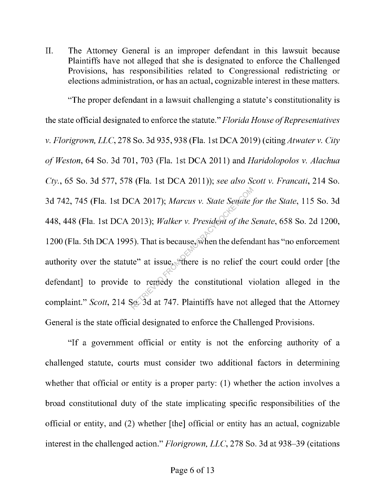II. The Attorney General is an improper defendant in this lawsuit because Plaintiffs have not alleged that she is designated to enforce the Challenged Provisions, has responsibilities related to Congressional redistricting or elections administration, or has an actual, cognizable interest in these matters.

"The proper defendant in a lawsuit challenging a statute's constitutionality is the state official designated to enforce the statute." *Florida House of Representatives v. Florigrown, LLC,* 278 So. 3d 935,938 (Fla. 1st DCA 2019) ( citing *Atwater v. City of Weston,* 64 So. 3d 701, 703 (Fla. 1st DCA 2011) and *Haridolopolos v. Alachua Cty.,* 65 So. 3d 577, 578 (Fla. 1st DCA 2011)); *see also Scott v. Francati,* 214 So. 3d 742, 745 (Fla. 1st DCA 2017); *Marcus v. State Senate for the State,* 115 So. 3d 448,448 (Fla. 1st DCA 2013); *Walker v. President of the Senate,* 658 So. 2d 1200, 1200 (Fla. 5th DCA 1995). That is because, when the defendant has "no enforcement authority over the statute" at issue, "there is no relief the court could order [the defendant] to provide to remedy the constitutional violation alleged in the complaint." *Scott,* 214 So. 3d at 747. Plaintiffs have not alleged that the Attorney General is the state official designated to enforce the Challenged Provisions. CA 2017); Marcus v. State Senate j<br>2013); Walker v. President of the S<br>5). That is because, when the defend<br>te" at issue, "there is no relief the<br>to reraedy the constitutional vi<br>Sec 3d at 747. Plaintiffs have not a

"If a government official or entity is not the enforcing authority of a challenged statute, courts must consider two additional factors in determining whether that official or entity is a proper party: (1) whether the action involves a broad constitutional duty of the state implicating specific responsibilities of the official or entity, and (2) whether [the] official or entity has an actual, cognizable interest in the challenged action." *Florigrown, LLC,* 278 So. 3d at 938-39 (citations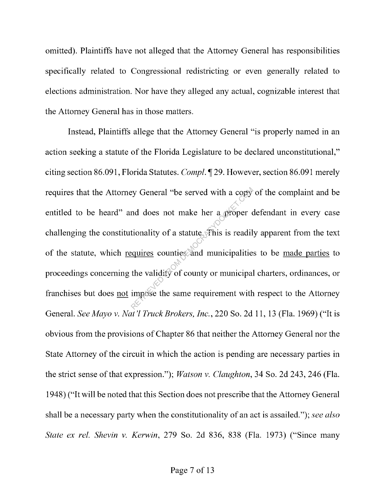omitted). Plaintiffs have not alleged that the Attorney General has responsibilities specifically related to Congressional redistricting or even generally related to elections administration. Nor have they alleged any actual, cognizable interest that the Attorney General has in those matters.

Instead, Plaintiffs allege that the Attorney General "is properly named in an action seeking a statute of the Florida Legislature to be declared unconstitutional," citing section 86.091, Florida Statutes. *Compl.* ~ 29. However, section 86.091 merely requires that the Attorney General "be served with a copy of the complaint and be entitled to be heard" and does not make her a proper defendant in every case challenging the constitutionality of a statute. This is readily apparent from the text of the statute, which requires counties and municipalities to be made parties to proceedings concerning the validity of county or municipal charters, ordinances, or franchises but does not impose the same requirement with respect to the Attorney General. *See Mayo v. Nat 'l Truck Brokers, Inc.,* 220 So. 2d 11, 13 (Fla. 1969) ("It is obvious from the provisions of Chapter 86 that neither the Attorney General nor the State Attorney of the circuit in which the action is pending are necessary parties in the strict sense of that expression."); *Watson v. Claughton,* 34 So. 2d 243, 246 (Fla. 1948) ("It will be noted that this Section does not prescribe that the Attorney General shall be a necessary party when the constitutionality of an act is assailed."); *see also State ex rel. Shevin v. Kerwin,* 279 So. 2d 836, 838 (Fla. 1973) ("Since many Expedience of the served with a copy<br>and does not make her a proper contionality of a statute of his is readily<br>equires counties and municipalities<br>the validity of county or municipal<br>impose the same requirement with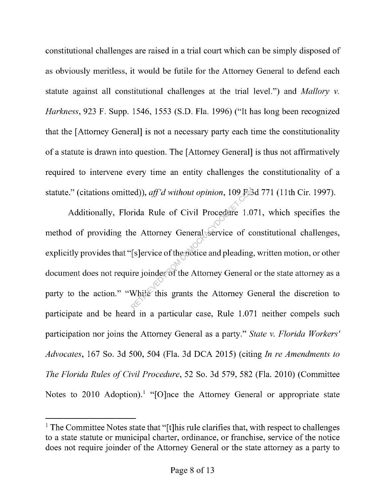constitutional challenges are raised in a trial court which can be simply disposed of as obviously meritless, it would be futile for the Attorney General to defend each statute against all constitutional challenges at the trial level.") and *Mallory v. Harkness,* 923 F. Supp. 1546, 1553 (S.D. Fla. 1996) ("It has long been recognized that the [ Attorney General] is not a necessary party each time the constitutionality of a statute is drawn into question. The [ Attorney General] is thus not affirmatively required to intervene every time an entity challenges the constitutionality of a statute." (citations omitted)), *ajf'd without opinion,* 109 F.3d 771 (11th Cir. 1997).

Additionally, Florida Rule of Civil Procedure 1.071, which specifies the method of providing the Attorney General service of constitutional challenges, explicitly provides that "[s]ervice of the notice and pleading, written motion, or other document does not require joinder of the Attorney General or the state attorney as a party to the action." "While this grants the Attorney General the discretion to participate and be heard in a particular case, Rule 1.071 neither compels such participation nor joins the Attorney General as a party." *State v. Florida Workers' Advocates,* 167 So. 3d 500, 504 (Fla. 3d DCA 2015) (citing *In re Amendments to The Florida Rules of Civil Procedure,* 52 So. 3d 579, 582 (Fla. 2010) (Committee Notes to 2010 Adoption).<sup>1</sup> "[O]nce the Attorney General or appropriate state ed)), *aff'd without opinion*, 109 FS<br>rida Rule of Civil Procedure 1.0<br>ne Attorney General service of co<br>[s]ervice of the notice and pleading.<br>ire joinder of the Attorney General<br>While this grants the Attorney G

<sup>&</sup>lt;sup>1</sup> The Committee Notes state that "[t]his rule clarifies that, with respect to challenges to a state statute or municipal charter, ordinance, or franchise, service of the notice does not require joinder of the Attorney General or the state attorney as a party to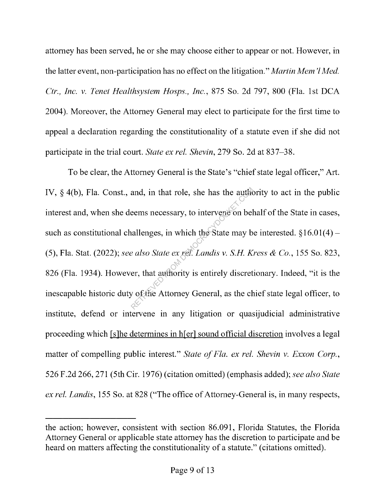attorney has been served, he or she may choose either to appear or not. However, in the latter event, non-participation has no effect on the litigation." *Martin Mem'l Med. Ctr., Inc. v. Tenet Healthsystem Hasps., Inc.,* 875 So. 2d 797, 800 (Fla. 1st DCA 2004). Moreover, the Attorney General may elect to participate for the first time to appeal a declaration regarding the constitutionality of a statute even if she did not participate in the trial court. *State ex rel. Shevin,* 279 So. 2d at 837-38.

To be clear, the Attorney General is the State's "chief state legal officer," Art. IV,  $\S$  4(b), Fla. Const., and, in that role, she has the authority to act in the public interest and, when she deems necessary, to intervene on behalf of the State in cases, such as constitutional challenges, in which the State may be interested.  $§16.01(4)$  -(5), Fla. Stat. (2022); *see also State ex rel. Landis v. S.H. Kress & Co.,* 155 So. 823, 826 (Fla. 1934). However, that authority is entirely discretionary. Indeed, "it is the inescapable historic duty of the Attorney General, as the chief state legal officer, to institute, defend or intervene in any litigation or quasijudicial administrative proceeding which [s]he determines in h[er] sound official discretion involves a legal matter of compelling public interest." *State of Fla. ex rel. Shevin v. Exxon Corp.,*  526 F.2d 266,271 (5th Cir. 1976) ( citation omitted) ( emphasis added); *see also State ex rel. Landis,* 155 So. at 828 ("The office of Attorney-General is, in many respects, and, in that role, she has the author<br>eems necessary, to intervene on bel<br>allenges, in which the State may be<br>also State ex ref. Landis v. S.H. K.<br>er, that authority is entirely discret<br>y of the Attorney General, as the ch

the action; however, consistent with section 86.091, Florida Statutes, the Florida Attorney General or applicable state attorney has the discretion to participate and be heard on matters affecting the constitutionality of a statute." ( citations omitted).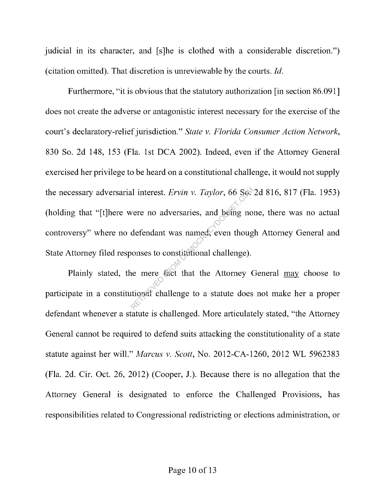judicial in its character, and [s]he is clothed with a considerable discretion.") ( citation omitted). That discretion is unreviewable by the courts. *Id.* 

Furthermore, "it is obvious that the statutory authorization [in section 86.091] does not create the adverse or antagonistic interest necessary for the exercise of the court's declaratory-relief jurisdiction." *State v. Florida Consumer Action Network,*  830 So. 2d 148, 153 (Fla. 1st DCA 2002). Indeed, even if the Attorney General exercised her privilege to be heard on a constitutional challenge, it would not supply the necessary adversarial interest. *Ervin v. Taylor,* 66 So. 2d 816, 817 (Fla. 1953) (holding that "[t]here were no adversaries, and being none, there was no actual controversy" where no defendant was named, even though Attorney General and State Attorney filed responses to constitutional challenge). Interest. *Ervin v. Taylor*, 66 Sexter<br>vere no adversaries, and being no<br>defendant was named, even though<br>compares to constitutional challenge).<br>the mere fact that the Attorney (<br>tional challenge to a statute does

Plainly stated, the mere fact that the Attorney General may choose to participate in a constitutional challenge to a statute does not make her a proper defendant whenever a statute is challenged. More articulately stated, "the Attorney General cannot be required to defend suits attacking the constitutionality of a state statute against her will." *Marcus v. Scott,* No. 2012-CA-1260, 2012 WL 5962383 (Fla. 2d. Cir. Oct. 26, 2012) (Cooper, J.). Because there is no allegation that the Attorney General is designated to enforce the Challenged Provisions, has responsibilities related to Congressional redistricting or elections administration, or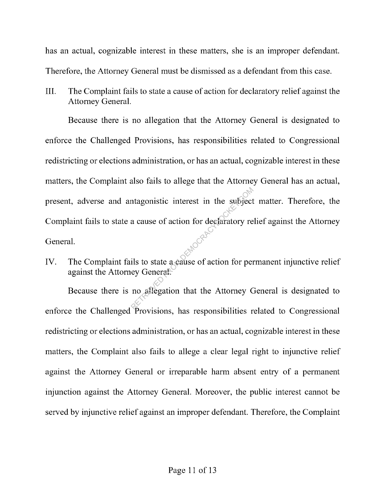has an actual, cognizable interest in these matters, she is an improper defendant. Therefore, the Attorney General must be dismissed as a defendant from this case.

III. The Complaint fails to state a cause of action for declaratory relief against the Attorney General.

Because there is no allegation that the Attorney General is designated to enforce the Challenged Provisions, has responsibilities related to Congressional redistricting or elections administration, or has an actual, cognizable interest in these matters, the Complaint also fails to allege that the Attorney General has an actual, present, adverse and antagonistic interest in the subject matter. Therefore, the Complaint fails to state a cause of action for declaratory relief against the Attorney General. Magonistic interest in the subject<br>a cause of action for declaratory re<br>ils to state a cause of action for per<br>ey General.<br>no affegation that the Attorney C

IV. The Complaint fails to state a cause of action for permanent injunctive relief against the Attorney General.

Because there is no allegation that the Attorney General is designated to enforce the Challenged Provisions, has responsibilities related to Congressional redistricting or elections administration, or has an actual, cognizable interest in these matters, the Complaint also fails to allege a clear legal right to injunctive relief against the Attorney General or irreparable harm absent entry of a permanent injunction against the Attorney General. Moreover, the public interest cannot be served by injunctive relief against an improper defendant. Therefore, the Complaint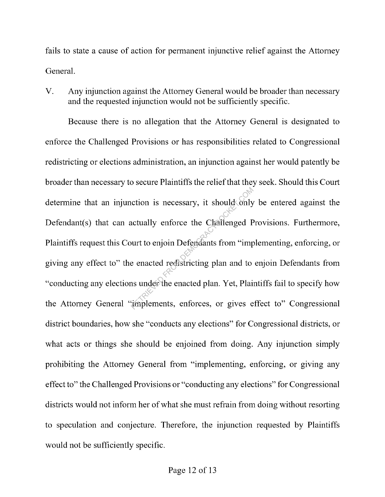fails to state a cause of action for permanent injunctive relief against the Attorney General.

V. Any injunction against the Attorney General would be broader than necessary and the requested injunction would not be sufficiently specific.

Because there is no allegation that the Attorney General is designated to enforce the Challenged Provisions or has responsibilities related to Congressional redistricting or elections administration, an injunction against her would patently be broader than necessary to secure Plaintiffs the relief that they seek. Should this Court determine that an injunction is necessary, it should only be entered against the Defendant(s) that can actually enforce the Challenged Provisions. Furthermore, Plaintiffs request this Court to enjoin Defendants from "implementing, enforcing, or giving any effect to" the enacted redistricting plan and to enjoin Defendants from "conducting any elections under the enacted plan. Yet, Plaintiffs fail to specify how the Attorney General "implements, enforces, or gives effect to" Congressional district boundaries, how she "conducts any elections" for Congressional districts, or what acts or things she should be enjoined from doing. Any injunction simply prohibiting the Attorney General from "implementing, enforcing, or giving any effect to" the Challenged Provisions or "conducting any elections" for Congressional districts would not inform her of what she must refrain from doing without resorting to speculation and conjecture. Therefore, the injunction requested by Plaintiffs would not be sufficiently specific. The entire of the Challenged P<br>
Retually enforce the Challenged P<br>
wurt to enjoin Defendants from "imperenated redistricting plan and to<br>
as under the enacted plan. Yet, Plair<br>
The enacted plan. Yet, Plair